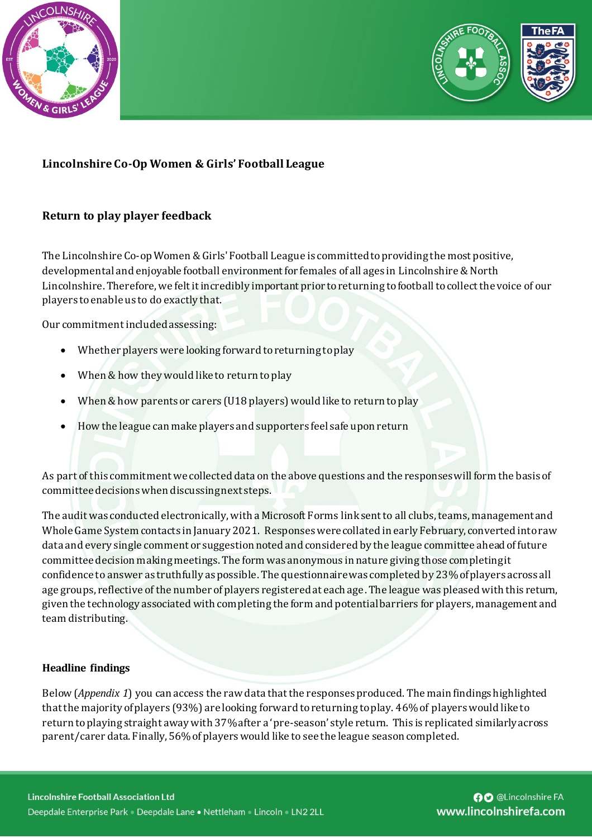



# **Lincolnshire Co-Op Women & Girls' Football League**

### **Return to play player feedback**

The Lincolnshire Co-op Women & Girls' Football League is committed to providing the most positive, developmental and enjoyable football environment for females of all ages in Lincolnshire & North Lincolnshire. Therefore, we felt it incredibly important prior to returning to football to collect the voice of our players toenable us to do exactly that.

Our commitment included assessing:

- Whether players were looking forward to returning to play
- When & how they would like to return to play
- When & how parents or carers (U18 players) would like to return to play
- How the league can make players and supporters feel safe upon return

As part of this commitment we collected data on the above questions and the responses will form the basis of committee decisions when discussing next steps.

The audit was conducted electronically, with a Microsoft Forms link sent to all clubs, teams, management and Whole Game System contacts in January 2021. Responses were collated in early February, converted into raw data and every single comment or suggestion noted and considered by the league committee ahead of future committee decision making meetings. The form was anonymous in nature giving those completing it confidence to answer as truthfully as possible. The questionnairewas completed by 23% of players across all age groups, reflective of the number of players registered at each age. The league was pleased with this return, given the technology associated with completing the form and potential barriers for players, management and team distributing.

#### **Headline findings**

Below (*Appendix 1*) you can access the raw data that the responses produced. The main findings highlighted that the majority of players (93%) are looking forward to returning to play. 46% of players would like to return to playing straight away with 37% after a 'pre-season' style return. This is replicated similarly across parent/carer data. Finally, 56% of players would like to see the league season completed.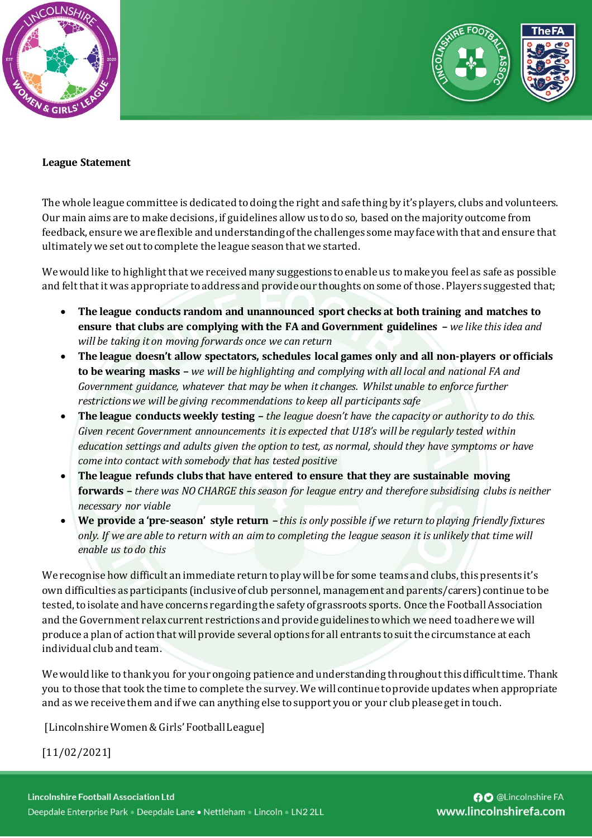



#### **League Statement**

The whole league committee is dedicated to doing the right and safe thing by it's players, clubs and volunteers. Our main aims are to make decisions, if guidelines allow us to do so, based on the majority outcome from feedback, ensure we are flexible and understanding of the challenges some may face with that and ensure that ultimately we set out to complete the league season that we started.

We would like to highlight that we received many suggestions to enable us to make you feel as safe as possible and felt that it was appropriate to address and provide our thoughts on some of those. Players suggested that;

- **The league conducts random and unannounced sport checks at both training and matches to ensure that clubs are complying with the FA and Government guidelines –** *we like this idea and will be taking it on moving forwards once we can return*
- **The league doesn't allow spectators, schedules local games only and all non-players or officials to be wearing masks –** *we will be highlighting and complying with all local and national FA and Government guidance, whatever that may be when it changes. Whilst unable to enforce further restrictions we will be giving recommendations to keep all participants safe*
- **The league conducts weekly testing –** *the league doesn't have the capacity or authority to do this. Given recent Government announcements it is expected that U18's will be regularly tested within education settings and adults given the option to test, as normal, should they have symptoms or have come into contact with somebody that has tested positive*
- **The league refunds clubs that have entered to ensure that they are sustainable moving forwards –** *there was NO CHARGE this season for league entry and therefore subsidising clubs is neither necessary nor viable*
- **We provide a 'pre-season' style return –** *this is only possible if we return to playing friendly fixtures only. If we are able to return with an aim to completing the league season it is unlikely that time will enable us to do this*

We recognise how difficult an immediate return to play will be for some teams and clubs, this presents it's own difficulties as participants (inclusive of club personnel, management and parents/carers) continue to be tested, to isolate and have concerns regarding the safety of grassroots sports. Once the Football Association and the Government relax current restrictions and provide guidelines to which we need to adhere we will produce a plan of action that will provide several options for all entrants to suit the circumstance at each individual club and team.

We would like to thank you for your ongoing patience and understanding throughout this difficult time. Thank you to those that took the time to complete the survey.We will continue to provide updates when appropriate and as we receive them and if we can anything else to support you or your club please get in touch.

[Lincolnshire Women & Girls' Football League]

[11/02/2021]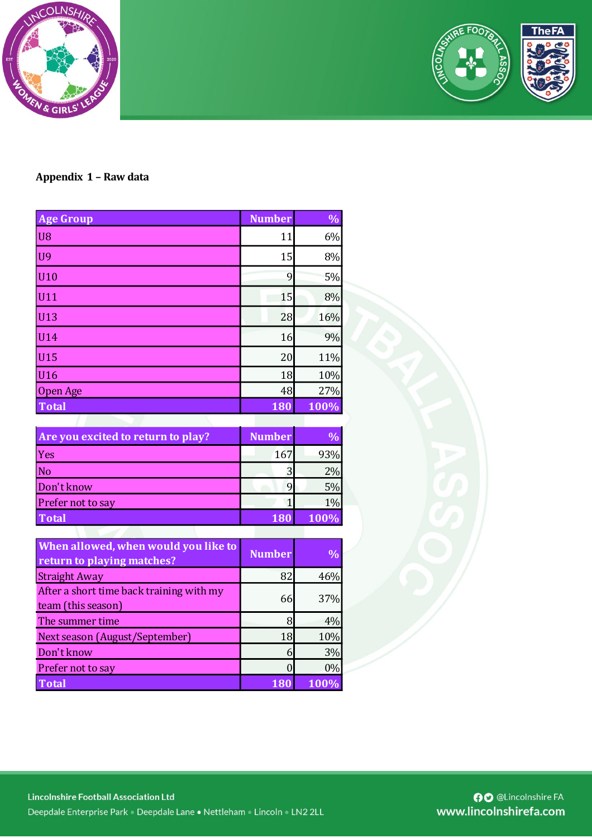



## **Appendix 1 – Raw data**

| <b>Age Group</b> | <b>Number</b> | $\frac{1}{2}$ |
|------------------|---------------|---------------|
| U <sub>8</sub>   | 11            | 6%            |
| U <sub>9</sub>   | 15            | 8%            |
| U10              | 9             | 5%            |
| U11              | 15            | 8%            |
| U13              | 28            | 16%           |
| U14              | 16            | 9%            |
| U15              | 20            | 11%           |
| U16              | 18            | 10%           |
| Open Age         | 48            | 27%           |
| <b>Total</b>     | 180           | $100\%$       |

| Are you excited to return to play? | <b>Number</b> |       |
|------------------------------------|---------------|-------|
| Yes                                | 167           | 93%   |
| No                                 |               | $2\%$ |
| Don't know                         |               | 5%    |
| Prefer not to say                  |               | 1%    |
| <b>Total</b>                       |               | 100%  |

| When allowed, when would you like to<br>return to playing matches? | <b>Number</b> | $\%$ |
|--------------------------------------------------------------------|---------------|------|
| <b>Straight Away</b>                                               | 82            | 46%  |
| After a short time back training with my<br>team (this season)     | 66            | 37%  |
| The summer time                                                    | 8             | 4%   |
| Next season (August/September)                                     | 18            | 10%  |
| Don't know                                                         | 6             | 3%   |
| Prefer not to say                                                  |               | 0%   |
| <b>Total</b>                                                       |               | 100% |